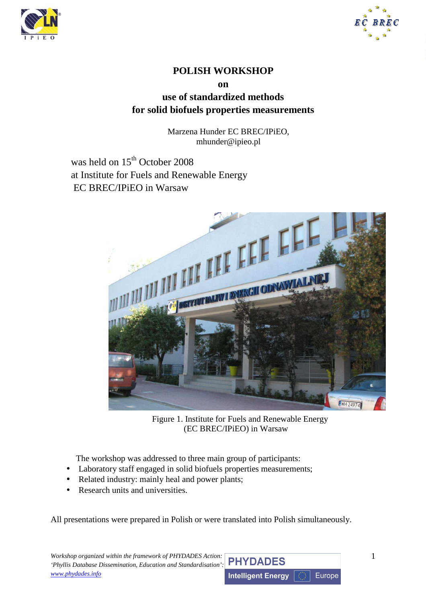



## **POLISH WORKSHOP**

**on** 

**use of standardized methods for solid biofuels properties measurements** 

> Marzena Hunder EC BREC/IPiEO, mhunder@ipieo.pl

was held on 15<sup>th</sup> October 2008 at Institute for Fuels and Renewable Energy EC BREC/IPiEO in Warsaw



Figure 1. Institute for Fuels and Renewable Energy (EC BREC/IPiEO) in Warsaw

The workshop was addressed to three main group of participants:

- Laboratory staff engaged in solid biofuels properties measurements;
- Related industry: mainly heal and power plants;
- Research units and universities.

All presentations were prepared in Polish or were translated into Polish simultaneously.

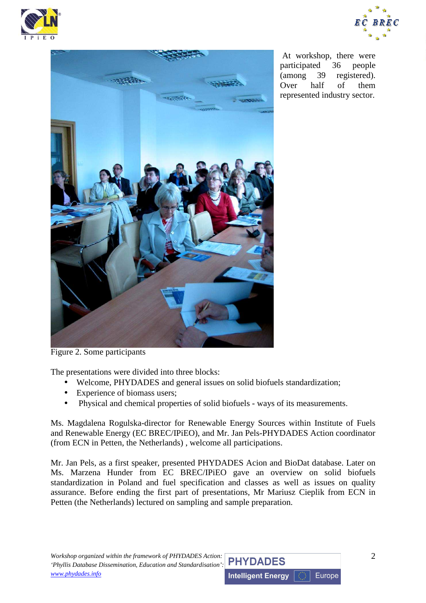





 At workshop, there were participated 36 people (among 39 registered). Over half of them represented industry sector.

Figure 2. Some participants

The presentations were divided into three blocks:

- Welcome, PHYDADES and general issues on solid biofuels standardization;
- Experience of biomass users;
- Physical and chemical properties of solid biofuels ways of its measurements.

Ms. Magdalena Rogulska-director for Renewable Energy Sources within Institute of Fuels and Renewable Energy (EC BREC/IPiEO), and Mr. Jan Pels-PHYDADES Action coordinator (from ECN in Petten, the Netherlands) , welcome all participations.

Mr. Jan Pels, as a first speaker, presented PHYDADES Acion and BioDat database. Later on Ms. Marzena Hunder from EC BREC/IPiEO gave an overview on solid biofuels standardization in Poland and fuel specification and classes as well as issues on quality assurance. Before ending the first part of presentations, Mr Mariusz Cieplik from ECN in Petten (the Netherlands) lectured on sampling and sample preparation.

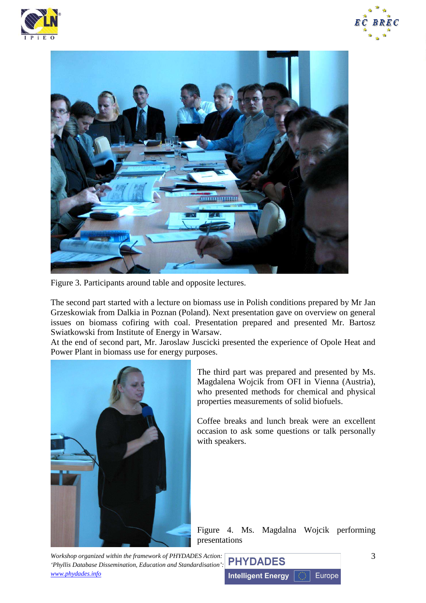





Figure 3. Participants around table and opposite lectures.

The second part started with a lecture on biomass use in Polish conditions prepared by Mr Jan Grzeskowiak from Dalkia in Poznan (Poland). Next presentation gave on overview on general issues on biomass cofiring with coal. Presentation prepared and presented Mr. Bartosz Swiatkowski from Institute of Energy in Warsaw.

At the end of second part, Mr. Jaroslaw Juscicki presented the experience of Opole Heat and Power Plant in biomass use for energy purposes.



The third part was prepared and presented by Ms. Magdalena Wojcik from OFI in Vienna (Austria), who presented methods for chemical and physical properties measurements of solid biofuels.

Coffee breaks and lunch break were an excellent occasion to ask some questions or talk personally with speakers.

Figure 4. Ms. Magdalna Wojcik performing presentations

*Workshop organized within the framework of PHYDADES Action: 'Phyllis Database Dissemination, Education and Standardisation': www.phydades.info*